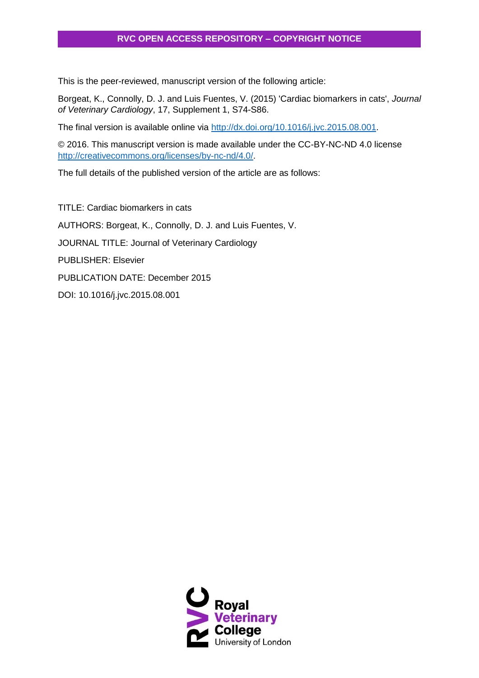## **RVC OPEN ACCESS REPOSITORY – COPYRIGHT NOTICE**

This is the peer-reviewed, manuscript version of the following article:

Borgeat, K., Connolly, D. J. and Luis Fuentes, V. (2015) 'Cardiac biomarkers in cats', *Journal of Veterinary Cardiology*, 17, Supplement 1, S74-S86.

The final version is available online via [http://dx.doi.org/10.1016/j.jvc.2015.08.001.](http://dx.doi.org/10.1016/j.jvc.2015.08.001)

© 2016. This manuscript version is made available under the CC-BY-NC-ND 4.0 license [http://creativecommons.org/licenses/by-nc-nd/4.0/.](http://creativecommons.org/licenses/by-nc-nd/4.0/)

The full details of the published version of the article are as follows:

TITLE: Cardiac biomarkers in cats AUTHORS: Borgeat, K., Connolly, D. J. and Luis Fuentes, V. JOURNAL TITLE: Journal of Veterinary Cardiology PUBLISHER: Elsevier PUBLICATION DATE: December 2015 DOI: 10.1016/j.jvc.2015.08.001

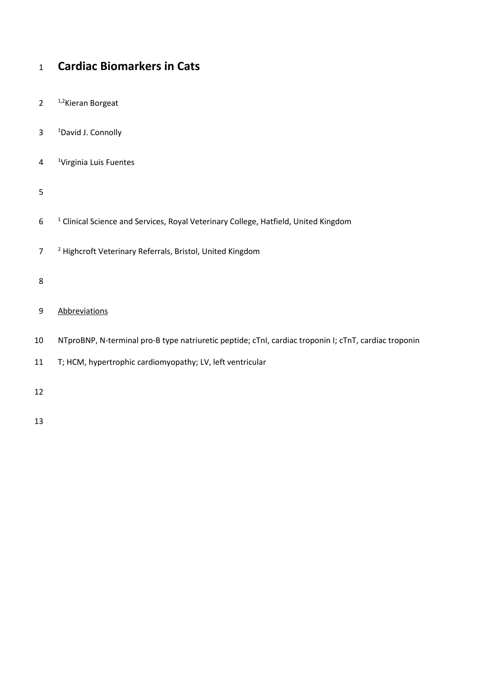# **Cardiac Biomarkers in Cats**

- 2  $1,2$ Kieran Borgeat
- 3 <sup>1</sup>David J. Connolly
- 4 <sup>1</sup>Virginia Luis Fuentes
- 
- <sup>1</sup> Clinical Science and Services, Royal Veterinary College, Hatfield, United Kingdom
- <sup>2</sup> Highcroft Veterinary Referrals, Bristol, United Kingdom
- 
- Abbreviations
- NTproBNP, N-terminal pro-B type natriuretic peptide; cTnI, cardiac troponin I; cTnT, cardiac troponin
- T; HCM, hypertrophic cardiomyopathy; LV, left ventricular
-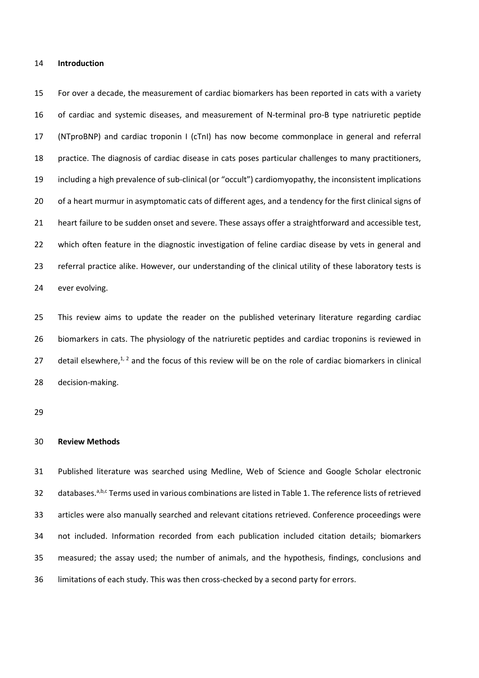#### **Introduction**

 For over a decade, the measurement of cardiac biomarkers has been reported in cats with a variety of cardiac and systemic diseases, and measurement of N-terminal pro-B type natriuretic peptide (NTproBNP) and cardiac troponin I (cTnI) has now become commonplace in general and referral practice. The diagnosis of cardiac disease in cats poses particular challenges to many practitioners, including a high prevalence of sub-clinical (or "occult") cardiomyopathy, the inconsistent implications of a heart murmur in asymptomatic cats of different ages, and a tendency for the first clinical signs of heart failure to be sudden onset and severe. These assays offer a straightforward and accessible test, which often feature in the diagnostic investigation of feline cardiac disease by vets in general and referral practice alike. However, our understanding of the clinical utility of these laboratory tests is ever evolving.

 This review aims to update the reader on the published veterinary literature regarding cardiac biomarkers in cats. The physiology of the natriuretic peptides and cardiac troponins is reviewed in 27 detail elsewhere, $1, 2$  $1, 2$  and the focus of this review will be on the role of cardiac biomarkers in clinical decision-making.

#### **Review Methods**

 Published literature was searched using Medline, Web of Science and Google Scholar electronic 32 databases.<sup>a,b,c</sup> Terms used in various combinations are listed in Table 1. The reference lists of retrieved articles were also manually searched and relevant citations retrieved. Conference proceedings were not included. Information recorded from each publication included citation details; biomarkers measured; the assay used; the number of animals, and the hypothesis, findings, conclusions and limitations of each study. This was then cross-checked by a second party for errors.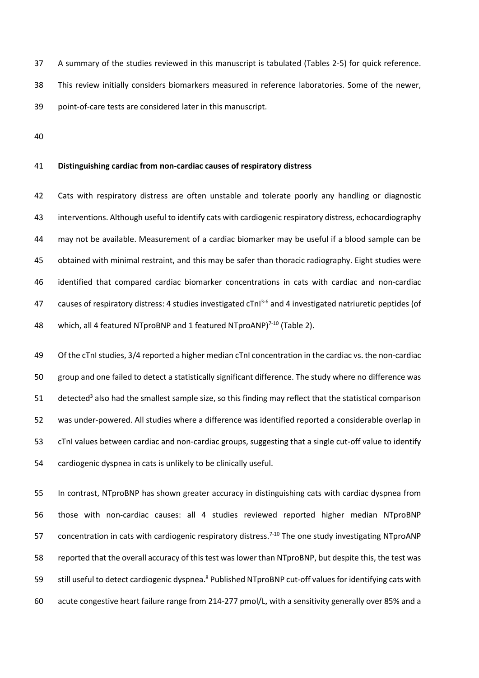A summary of the studies reviewed in this manuscript is tabulated (Tables 2-5) for quick reference. This review initially considers biomarkers measured in reference laboratories. Some of the newer, point-of-care tests are considered later in this manuscript.

### **Distinguishing cardiac from non-cardiac causes of respiratory distress**

 Cats with respiratory distress are often unstable and tolerate poorly any handling or diagnostic interventions. Although useful to identify cats with cardiogenic respiratory distress, echocardiography may not be available. Measurement of a cardiac biomarker may be useful if a blood sample can be obtained with minimal restraint, and this may be safer than thoracic radiography. Eight studies were identified that compared cardiac biomarker concentrations in cats with cardiac and non-cardiac 47 causes of respiratory distress: 4 studies investigated cTnI<sup>[3-6](#page-25-2)</sup> and 4 investigated natriuretic peptides (of 48 which, all 4 featured NTproBNP and 1 featured NTproANP $7^{10}$  (Table 2).

 Of the cTnI studies, 3/4 reported a higher median cTnI concentration in the cardiac vs. the non-cardiac group and one failed to detect a statistically significant difference. The study where no difference was 51 detected<sup>[3](#page-25-2)</sup> also had the smallest sample size, so this finding may reflect that the statistical comparison was under-powered. All studies where a difference was identified reported a considerable overlap in cTnI values between cardiac and non-cardiac groups, suggesting that a single cut-off value to identify cardiogenic dyspnea in cats is unlikely to be clinically useful.

 In contrast, NTproBNP has shown greater accuracy in distinguishing cats with cardiac dyspnea from those with non-cardiac causes: all 4 studies reviewed reported higher median NTproBNP 57 concentration in cats with cardiogenic respiratory distress.<sup>[7-10](#page-25-3)</sup> The one study investigating NTproANP reported that the overall accuracy of this test was lower than NTproBNP, but despite this, the test was 59 still useful to detect cardiogenic dyspnea[.](#page-25-4)<sup>8</sup> Published NTproBNP cut-off values for identifying cats with acute congestive heart failure range from 214-277 pmol/L, with a sensitivity generally over 85% and a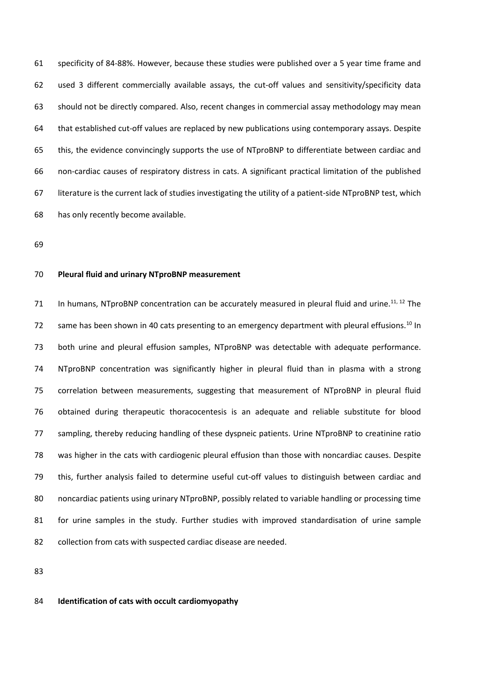specificity of 84-88%. However, because these studies were published over a 5 year time frame and used 3 different commercially available assays, the cut-off values and sensitivity/specificity data should not be directly compared. Also, recent changes in commercial assay methodology may mean that established cut-off values are replaced by new publications using contemporary assays. Despite this, the evidence convincingly supports the use of NTproBNP to differentiate between cardiac and non-cardiac causes of respiratory distress in cats. A significant practical limitation of the published literature is the current lack of studies investigating the utility of a patient-side NTproBNP test, which has only recently become available.

#### **Pleural fluid and urinary NTproBNP measurement**

71 In humans, NTproBNP concentration can be accurately measured in pleural fluid and urine.<sup>[11,](#page-25-5) [12](#page-25-6)</sup> The z same has been shown in 40 cats presenting to an emergency department with pleural effusions.<sup>[10](#page-25-7)</sup> In both urine and pleural effusion samples, NTproBNP was detectable with adequate performance. NTproBNP concentration was significantly higher in pleural fluid than in plasma with a strong correlation between measurements, suggesting that measurement of NTproBNP in pleural fluid obtained during therapeutic thoracocentesis is an adequate and reliable substitute for blood sampling, thereby reducing handling of these dyspneic patients. Urine NTproBNP to creatinine ratio was higher in the cats with cardiogenic pleural effusion than those with noncardiac causes. Despite this, further analysis failed to determine useful cut-off values to distinguish between cardiac and noncardiac patients using urinary NTproBNP, possibly related to variable handling or processing time for urine samples in the study. Further studies with improved standardisation of urine sample collection from cats with suspected cardiac disease are needed.

#### **Identification of cats with occult cardiomyopathy**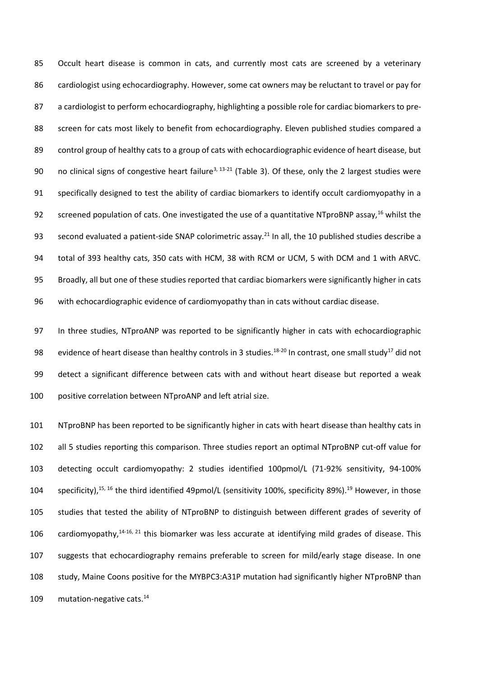85 Occult heart disease is common in cats, and currently most cats are screened by a veterinary cardiologist using echocardiography. However, some cat owners may be reluctant to travel or pay for a cardiologist to perform echocardiography, highlighting a possible role for cardiac biomarkers to pre-88 screen for cats most likely to benefit from echocardiography. Eleven published studies compared a control group of healthy cats to a group of cats with echocardiographic evidence of heart disease, but 90 no clinical signs of congestive heart failure<sup>[3,](#page-25-2) [13-21](#page-25-8)</sup> (Table 3). Of these, only the 2 largest studies were specifically designed to test the ability of cardiac biomarkers to identify occult cardiomyopathy in a 92 screened population of cats. One investigated the use of a quantitative NTproBNP assay,<sup>[16](#page-26-0)</sup> whilst the 93 second evaluated a patient-side SNAP colorimetric assay.<sup>[21](#page-26-1)</sup> In all, the 10 published studies describe a total of 393 healthy cats, 350 cats with HCM, 38 with RCM or UCM, 5 with DCM and 1 with ARVC. Broadly, all but one of these studies reported that cardiac biomarkers were significantly higher in cats with echocardiographic evidence of cardiomyopathy than in cats without cardiac disease.

 In three studies, NTproANP was reported to be significantly higher in cats with echocardiographic 98 evidence of heart disease than healthy controls in 3 studies.<sup>[18-20](#page-26-2)</sup> In contrast, one small study<sup>[17](#page-26-3)</sup> did not detect a significant difference between cats with and without heart disease but reported a weak positive correlation between NTproANP and left atrial size.

 NTproBNP has been reported to be significantly higher in cats with heart disease than healthy cats in all 5 studies reporting this comparison. Three studies report an optimal NTproBNP cut-off value for detecting occult cardiomyopathy: 2 studies identified 100pmol/L (71-92% sensitivity, 94-100% 104 specificity),  $^{15, 16}$  $^{15, 16}$  $^{15, 16}$  $^{15, 16}$  the third identified 49pmol/L (sensitivity 100%, specificity 89%).<sup>[19](#page-26-5)</sup> However, in those studies that tested the ability of NTproBNP to distinguish between different grades of severity of 106 cardiomyopathy, $14-16$ ,  $21$  this biomarker was less accurate at identifying mild grades of disease. This suggests that echocardiography remains preferable to screen for mild/early stage disease. In one study, Maine Coons positive for the MYBPC3:A31P mutation had significantly higher NTproBNP than 109 mutation-negative cats.<sup>[14](#page-25-9)</sup>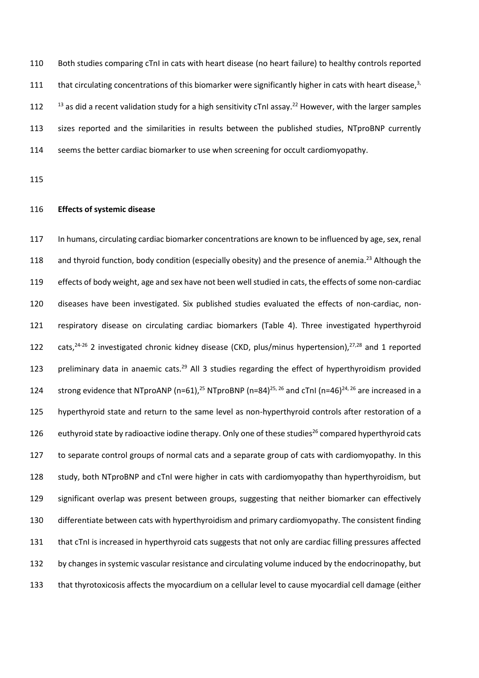Both studies comparing cTnI in cats with heart disease (no heart failure) to healthy controls reported 111 that circulating concentrations of this biomarker were significantly higher in cats with heart disease, , as did a recent validation study for a high sensitivity cTnI assay.<sup>[22](#page-26-6)</sup> However, with the larger samples sizes reported and the similarities in results between the published studies, NTproBNP currently seems the better cardiac biomarker to use when screening for occult cardiomyopathy.

### **Effects of systemic disease**

 In humans, circulating cardiac biomarker concentrations are known to be influenced by age, sex, renal 118 and thyroid function, body condition (especially obesity) and the presence of anemia.<sup>[23](#page-26-7)</sup> Although the effects of body weight, age and sex have not been well studied in cats, the effects of some non-cardiac diseases have been investigated. Six published studies evaluated the effects of non-cardiac, non- respiratory disease on circulating cardiac biomarkers (Table 4). Three investigated hyperthyroid 122 cats,  $24-26$  2 investigated chronic kidney disease (CKD, plus/minus hypertension),  $27,28$  $27,28$  and 1 reported 123 preliminary data in anaemic cats.<sup>[29](#page-26-11)</sup> All 3 studies regarding the effect of hyperthyroidism provided 124 strong evidence that NTproANP (n=61),<sup>[25](#page-26-12)</sup> NTproBNP (n=84)<sup>[25,](#page-26-12) [26](#page-26-13)</sup> and cTnI (n=46)<sup>[24,](#page-26-8) 26</sup> are increased in a hyperthyroid state and return to the same level as non-hyperthyroid controls after restoration of a [26](#page-26-13) euthyroid state by radioactive iodine therapy. Only one of these studies<sup>26</sup> compared hyperthyroid cats to separate control groups of normal cats and a separate group of cats with cardiomyopathy. In this study, both NTproBNP and cTnI were higher in cats with cardiomyopathy than hyperthyroidism, but significant overlap was present between groups, suggesting that neither biomarker can effectively differentiate between cats with hyperthyroidism and primary cardiomyopathy. The consistent finding that cTnI is increased in hyperthyroid cats suggests that not only are cardiac filling pressures affected by changes in systemic vascular resistance and circulating volume induced by the endocrinopathy, but that thyrotoxicosis affects the myocardium on a cellular level to cause myocardial cell damage (either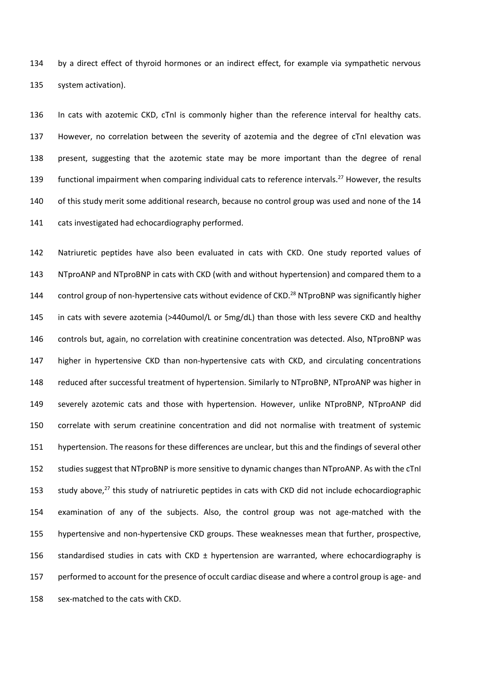by a direct effect of thyroid hormones or an indirect effect, for example via sympathetic nervous system activation).

 In cats with azotemic CKD, cTnI is commonly higher than the reference interval for healthy cats. However, no correlation between the severity of azotemia and the degree of cTnI elevation was present, suggesting that the azotemic state may be more important than the degree of renal functional impairment when comparing individual cats to reference intervals.<sup>[27](#page-26-9)</sup> However, the results of this study merit some additional research, because no control group was used and none of the 14 cats investigated had echocardiography performed.

 Natriuretic peptides have also been evaluated in cats with CKD. One study reported values of NTproANP and NTproBNP in cats with CKD (with and without hypertension) and compared them to a 144 control group of non-hypertensive cats without evidence of CKD.<sup>[28](#page-26-10)</sup> NTproBNP was significantly higher in cats with severe azotemia (>440umol/L or 5mg/dL) than those with less severe CKD and healthy controls but, again, no correlation with creatinine concentration was detected. Also, NTproBNP was higher in hypertensive CKD than non-hypertensive cats with CKD, and circulating concentrations reduced after successful treatment of hypertension. Similarly to NTproBNP, NTproANP was higher in severely azotemic cats and those with hypertension. However, unlike NTproBNP, NTproANP did correlate with serum creatinine concentration and did not normalise with treatment of systemic hypertension. The reasons for these differences are unclear, but this and the findings of several other studies suggest that NTproBNP is more sensitive to dynamic changes than NTproANP. As with the cTnI 153 study above,<sup>[27](#page-26-9)</sup> this study of natriuretic peptides in cats with CKD did not include echocardiographic examination of any of the subjects. Also, the control group was not age-matched with the hypertensive and non-hypertensive CKD groups. These weaknesses mean that further, prospective, 156 standardised studies in cats with CKD ± hypertension are warranted, where echocardiography is performed to account for the presence of occult cardiac disease and where a control group is age- and sex-matched to the cats with CKD.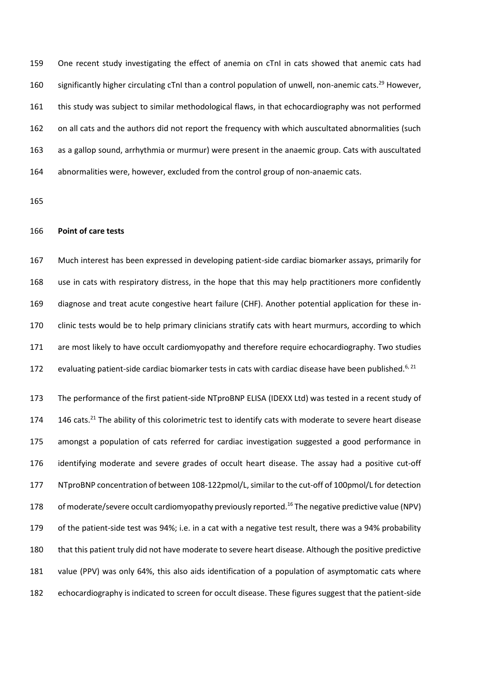One recent study investigating the effect of anemia on cTnI in cats showed that anemic cats had 160 significantly higher circulating cTnI than a control population of unwell, non-anemic cats.<sup>[29](#page-26-11)</sup> However, this study was subject to similar methodological flaws, in that echocardiography was not performed on all cats and the authors did not report the frequency with which auscultated abnormalities (such as a gallop sound, arrhythmia or murmur) were present in the anaemic group. Cats with auscultated abnormalities were, however, excluded from the control group of non-anaemic cats.

#### **Point of care tests**

 Much interest has been expressed in developing patient-side cardiac biomarker assays, primarily for use in cats with respiratory distress, in the hope that this may help practitioners more confidently diagnose and treat acute congestive heart failure (CHF). Another potential application for these in- clinic tests would be to help primary clinicians stratify cats with heart murmurs, according to which are most likely to have occult cardiomyopathy and therefore require echocardiography. Two studies 172 evaluating patient-side cardiac biomarker tests in cats with cardiac disease have been published.<sup>[6,](#page-25-10) [21](#page-26-1)</sup>

 The performance of the first patient-side NTproBNP ELISA (IDEXX Ltd) was tested in a recent study of 174 146 cats.<sup>[21](#page-26-1)</sup> The ability of this colorimetric test to identify cats with moderate to severe heart disease amongst a population of cats referred for cardiac investigation suggested a good performance in identifying moderate and severe grades of occult heart disease. The assay had a positive cut-off NTproBNP concentration of between 108-122pmol/L, similar to the cut-off of 100pmol/L for detection 178 of moderate/severe occult cardiomyopathy previously reported.<sup>[16](#page-26-0)</sup> The negative predictive value (NPV) of the patient-side test was 94%; i.e. in a cat with a negative test result, there was a 94% probability that this patient truly did not have moderate to severe heart disease. Although the positive predictive value (PPV) was only 64%, this also aids identification of a population of asymptomatic cats where echocardiography is indicated to screen for occult disease. These figures suggest that the patient-side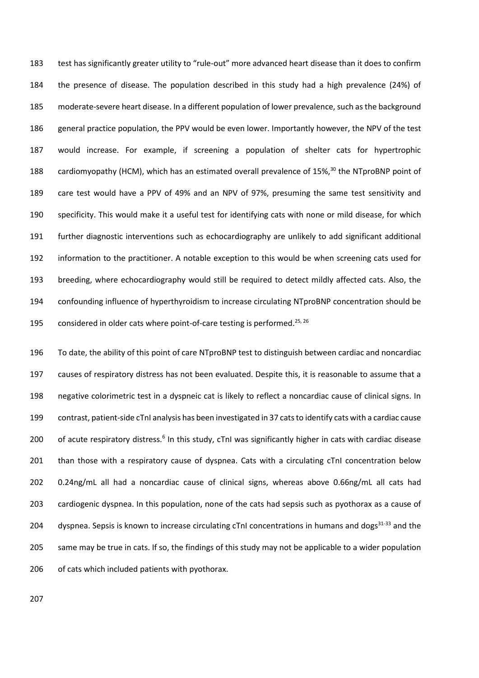test has significantly greater utility to "rule-out" more advanced heart disease than it does to confirm the presence of disease. The population described in this study had a high prevalence (24%) of moderate-severe heart disease. In a different population of lower prevalence, such as the background general practice population, the PPV would be even lower. Importantly however, the NPV of the test would increase. For example, if screening a population of shelter cats for hypertrophic 188 cardiomyopathy (HCM), which has an estimated overall prevalence of 15%,<sup>[30](#page-26-14)</sup> the NTproBNP point of care test would have a PPV of 49% and an NPV of 97%, presuming the same test sensitivity and specificity. This would make it a useful test for identifying cats with none or mild disease, for which further diagnostic interventions such as echocardiography are unlikely to add significant additional information to the practitioner. A notable exception to this would be when screening cats used for breeding, where echocardiography would still be required to detect mildly affected cats. Also, the confounding influence of hyperthyroidism to increase circulating NTproBNP concentration should be 195 considered in older cats where point-of-care testing is performed.<sup>[25,](#page-26-12) [26](#page-26-13)</sup>

 To date, the ability of this point of care NTproBNP test to distinguish between cardiac and noncardiac causes of respiratory distress has not been evaluated. Despite this, it is reasonable to assume that a negative colorimetric test in a dyspneic cat is likely to reflect a noncardiac cause of clinical signs. In contrast, patient-side cTnI analysis has been investigated in 37 cats to identify cats with a cardiac cause 200 of acute respiratory distress[.](#page-25-10)<sup>6</sup> In this study, cTnI was significantly higher in cats with cardiac disease 201 than those with a respiratory cause of dyspnea. Cats with a circulating cTnI concentration below 0.24ng/mL all had a noncardiac cause of clinical signs, whereas above 0.66ng/mL all cats had cardiogenic dyspnea. In this population, none of the cats had sepsis such as pyothorax as a cause of 204 dyspnea. Sepsis is known to increase circulating cTnI concentrations in humans and dogs<sup>[31-33](#page-26-15)</sup> and the same may be true in cats. If so, the findings of this study may not be applicable to a wider population of cats which included patients with pyothorax.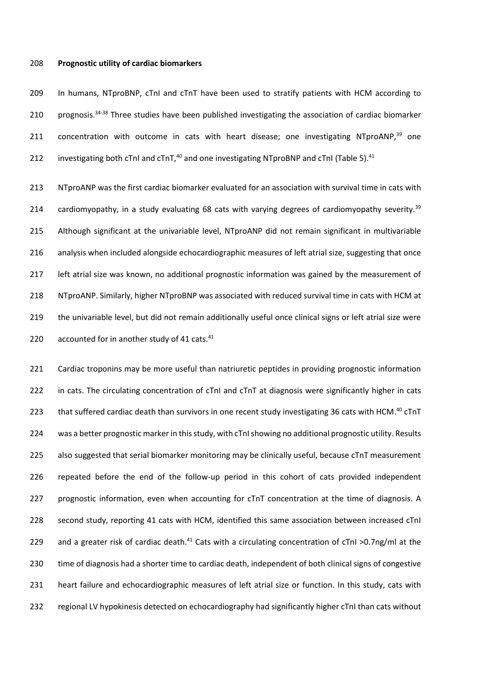#### **Prognostic utility of cardiac biomarkers**

 In humans, NTproBNP, cTnI and cTnT have been used to stratify patients with HCM according to 210 prognosis. $34-38$  Three studies have been published investigating the association of cardiac biomarker 211 concentration with outcome in cats with heart disease; one investigating NTproANP,<sup>[39](#page-27-1)</sup> one 212 investigating both cTnI and cTnT,<sup>[40](#page-27-2)</sup> and one investigating NTproBNP and cTnI (Table 5).<sup>[41](#page-27-3)</sup>

 NTproANP was the first cardiac biomarker evaluated for an association with survival time in cats with 214 cardiomyopathy, in a study evaluating 68 cats with varying degrees of cardiomyopathy severity.<sup>[39](#page-27-1)</sup> Although significant at the univariable level, NTproANP did not remain significant in multivariable analysis when included alongside echocardiographic measures of left atrial size, suggesting that once 217 left atrial size was known, no additional prognostic information was gained by the measurement of NTproANP. Similarly, higher NTproBNP was associated with reduced survival time in cats with HCM at the univariable level, but did not remain additionally useful once clinical signs or left atrial size were  $\alpha$  accounted for in another study of [41](#page-27-3) cats.<sup>41</sup>

221 Cardiac troponins may be more useful than natriuretic peptides in providing prognostic information in cats. The circulating concentration of cTnI and cTnT at diagnosis were significantly higher in cats 223 that suffered cardiac death than survivors in one recent study investigating 36 cats with HCM.<sup>[40](#page-27-2)</sup> cTnT was a better prognostic marker in this study, with cTnI showing no additional prognostic utility. Results also suggested that serial biomarker monitoring may be clinically useful, because cTnT measurement repeated before the end of the follow-up period in this cohort of cats provided independent prognostic information, even when accounting for cTnT concentration at the time of diagnosis. A second study, reporting 41 cats with HCM, identified this same association between increased cTnI 229 and a greater risk of cardiac death.<sup>[41](#page-27-3)</sup> Cats with a circulating concentration of cTnI >0.7ng/ml at the time of diagnosis had a shorter time to cardiac death, independent of both clinical signs of congestive heart failure and echocardiographic measures of left atrial size or function. In this study, cats with regional LV hypokinesis detected on echocardiography had significantly higher cTnI than cats without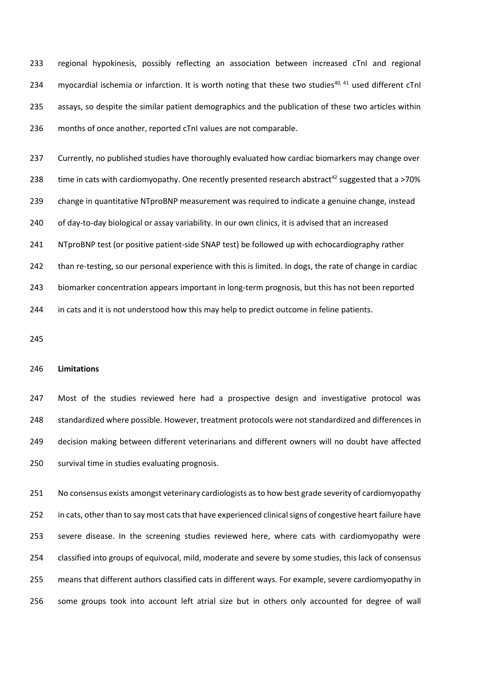regional hypokinesis, possibly reflecting an association between increased cTnI and regional 234 myocardial ischemia or infarction. It is worth noting that these two studies<sup>[40,](#page-27-2) [41](#page-27-3)</sup> used different cTnI assays, so despite the similar patient demographics and the publication of these two articles within months of once another, reported cTnI values are not comparable.

 Currently, no published studies have thoroughly evaluated how cardiac biomarkers may change over 238 time in cats with cardiomyopathy. One recently presented research abstract<sup>[42](#page-27-4)</sup> suggested that a >70% change in quantitative NTproBNP measurement was required to indicate a genuine change, instead of day-to-day biological or assay variability. In our own clinics, it is advised that an increased NTproBNP test (or positive patient-side SNAP test) be followed up with echocardiography rather than re-testing, so our personal experience with this is limited. In dogs, the rate of change in cardiac biomarker concentration appears important in long-term prognosis, but this has not been reported in cats and it is not understood how this may help to predict outcome in feline patients.

#### **Limitations**

 Most of the studies reviewed here had a prospective design and investigative protocol was standardized where possible. However, treatment protocols were not standardized and differences in decision making between different veterinarians and different owners will no doubt have affected survival time in studies evaluating prognosis.

 No consensus exists amongst veterinary cardiologists as to how best grade severity of cardiomyopathy in cats, other than to say most cats that have experienced clinical signs of congestive heart failure have severe disease. In the screening studies reviewed here, where cats with cardiomyopathy were classified into groups of equivocal, mild, moderate and severe by some studies, this lack of consensus means that different authors classified cats in different ways. For example, severe cardiomyopathy in some groups took into account left atrial size but in others only accounted for degree of wall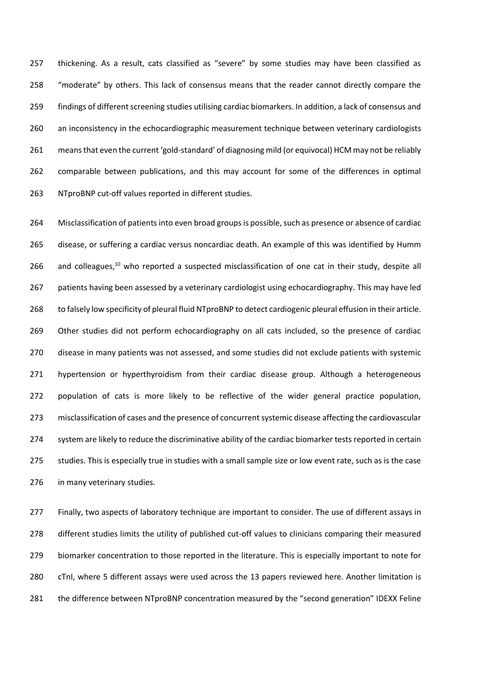thickening. As a result, cats classified as "severe" by some studies may have been classified as "moderate" by others. This lack of consensus means that the reader cannot directly compare the findings of different screening studies utilising cardiac biomarkers. In addition, a lack of consensus and 260 an inconsistency in the echocardiographic measurement technique between veterinary cardiologists means that even the current 'gold-standard' of diagnosing mild (or equivocal) HCM may not be reliably comparable between publications, and this may account for some of the differences in optimal NTproBNP cut-off values reported in different studies.

 Misclassification of patients into even broad groups is possible, such as presence or absence of cardiac disease, or suffering a cardiac versus noncardiac death. An example of this was identified by Humm 266 and colleagues,<sup>[10](#page-25-7)</sup> who reported a suspected misclassification of one cat in their study, despite all 267 patients having been assessed by a veterinary cardiologist using echocardiography. This may have led to falsely low specificity of pleural fluid NTproBNP to detect cardiogenic pleural effusion in their article. 269 Other studies did not perform echocardiography on all cats included, so the presence of cardiac disease in many patients was not assessed, and some studies did not exclude patients with systemic 271 hypertension or hyperthyroidism from their cardiac disease group. Although a heterogeneous 272 population of cats is more likely to be reflective of the wider general practice population, misclassification of cases and the presence of concurrent systemic disease affecting the cardiovascular 274 system are likely to reduce the discriminative ability of the cardiac biomarker tests reported in certain studies. This is especially true in studies with a small sample size or low event rate, such as is the case in many veterinary studies.

 Finally, two aspects of laboratory technique are important to consider. The use of different assays in different studies limits the utility of published cut-off values to clinicians comparing their measured biomarker concentration to those reported in the literature. This is especially important to note for cTnI, where 5 different assays were used across the 13 papers reviewed here. Another limitation is the difference between NTproBNP concentration measured by the "second generation" IDEXX Feline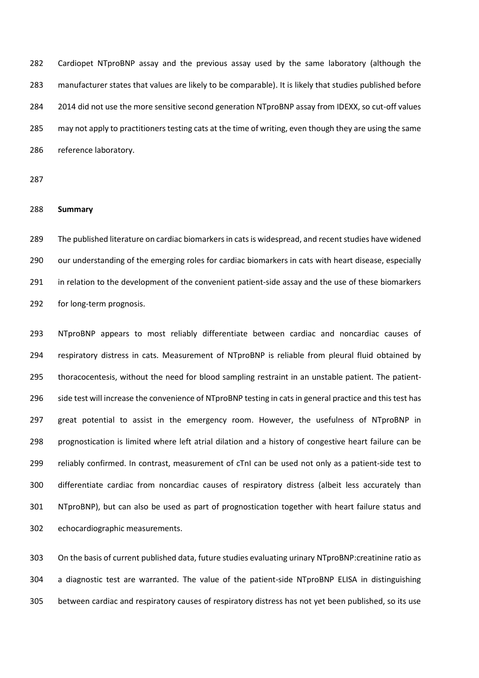Cardiopet NTproBNP assay and the previous assay used by the same laboratory (although the manufacturer states that values are likely to be comparable). It is likely that studies published before 2014 did not use the more sensitive second generation NTproBNP assay from IDEXX, so cut-off values may not apply to practitioners testing cats at the time of writing, even though they are using the same reference laboratory.

### **Summary**

 The published literature on cardiac biomarkers in cats is widespread, and recent studies have widened our understanding of the emerging roles for cardiac biomarkers in cats with heart disease, especially in relation to the development of the convenient patient-side assay and the use of these biomarkers for long-term prognosis.

 NTproBNP appears to most reliably differentiate between cardiac and noncardiac causes of respiratory distress in cats. Measurement of NTproBNP is reliable from pleural fluid obtained by thoracocentesis, without the need for blood sampling restraint in an unstable patient. The patient- side test will increase the convenience of NTproBNP testing in cats in general practice and this test has great potential to assist in the emergency room. However, the usefulness of NTproBNP in prognostication is limited where left atrial dilation and a history of congestive heart failure can be reliably confirmed. In contrast, measurement of cTnI can be used not only as a patient-side test to differentiate cardiac from noncardiac causes of respiratory distress (albeit less accurately than NTproBNP), but can also be used as part of prognostication together with heart failure status and echocardiographic measurements.

 On the basis of current published data, future studies evaluating urinary NTproBNP:creatinine ratio as a diagnostic test are warranted. The value of the patient-side NTproBNP ELISA in distinguishing between cardiac and respiratory causes of respiratory distress has not yet been published, so its use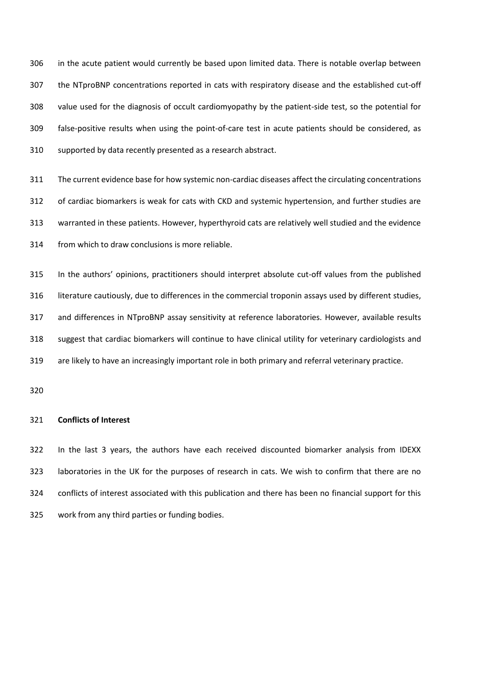in the acute patient would currently be based upon limited data. There is notable overlap between the NTproBNP concentrations reported in cats with respiratory disease and the established cut-off value used for the diagnosis of occult cardiomyopathy by the patient-side test, so the potential for false-positive results when using the point-of-care test in acute patients should be considered, as supported by data recently presented as a research abstract.

 The current evidence base for how systemic non-cardiac diseases affect the circulating concentrations of cardiac biomarkers is weak for cats with CKD and systemic hypertension, and further studies are warranted in these patients. However, hyperthyroid cats are relatively well studied and the evidence from which to draw conclusions is more reliable.

 In the authors' opinions, practitioners should interpret absolute cut-off values from the published literature cautiously, due to differences in the commercial troponin assays used by different studies, and differences in NTproBNP assay sensitivity at reference laboratories. However, available results suggest that cardiac biomarkers will continue to have clinical utility for veterinary cardiologists and are likely to have an increasingly important role in both primary and referral veterinary practice.

#### **Conflicts of Interest**

 In the last 3 years, the authors have each received discounted biomarker analysis from IDEXX laboratories in the UK for the purposes of research in cats. We wish to confirm that there are no conflicts of interest associated with this publication and there has been no financial support for this work from any third parties or funding bodies.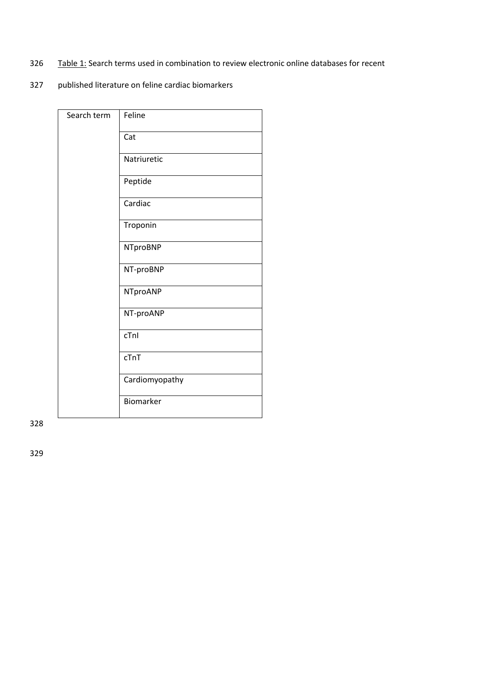- 326 Table 1: Search terms used in combination to review electronic online databases for recent
- 327 published literature on feline cardiac biomarkers

| Search term | Feline          |
|-------------|-----------------|
|             | Cat             |
|             | Natriuretic     |
|             | Peptide         |
|             | Cardiac         |
|             | Troponin        |
|             | <b>NTproBNP</b> |
|             | NT-proBNP       |
|             | NTproANP        |
|             | NT-proANP       |
|             | cTnl            |
|             | cTnT            |
|             | Cardiomyopathy  |
|             | Biomarker       |

328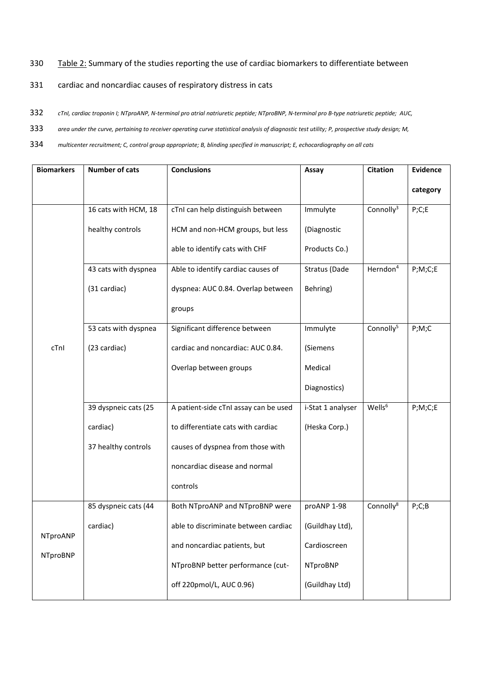### 330 Table 2: Summary of the studies reporting the use of cardiac biomarkers to differentiate between

### 331 cardiac and noncardiac causes of respiratory distress in cats

- 332 *cTnI, cardiac troponin I; NTproANP, N-terminal pro atrial natriuretic peptide; NTproBNP, N-terminal pro B-type natriuretic peptide; AUC,*
- 333 *area under the curve, pertaining to receiver operating curve statistical analysis of diagnostic test utility; P, prospective study design; M,*
- 334 *multicenter recruitment; C, control group appropriate; B, blinding specified in manuscript; E, echocardiography on all cats*

| <b>Biomarkers</b> | <b>Number of cats</b> | <b>Conclusions</b>                    | Assay             | <b>Citation</b>       | <b>Evidence</b> |
|-------------------|-----------------------|---------------------------------------|-------------------|-----------------------|-----------------|
|                   |                       |                                       |                   |                       | category        |
|                   | 16 cats with HCM, 18  | cTnI can help distinguish between     | Immulyte          | Connolly <sup>3</sup> | P;C;E           |
|                   | healthy controls      | HCM and non-HCM groups, but less      | (Diagnostic       |                       |                 |
|                   |                       | able to identify cats with CHF        | Products Co.)     |                       |                 |
|                   | 43 cats with dyspnea  | Able to identify cardiac causes of    | Stratus (Dade     | Herndon <sup>4</sup>  | P;M;C;E         |
|                   | (31 cardiac)          | dyspnea: AUC 0.84. Overlap between    | Behring)          |                       |                 |
|                   |                       | groups                                |                   |                       |                 |
|                   | 53 cats with dyspnea  | Significant difference between        | Immulyte          | Connolly <sup>5</sup> | P;M;C           |
| cTnl              | (23 cardiac)          | cardiac and noncardiac: AUC 0.84.     | (Siemens          |                       |                 |
|                   |                       | Overlap between groups                | Medical           |                       |                 |
|                   |                       |                                       | Diagnostics)      |                       |                 |
|                   | 39 dyspneic cats (25  | A patient-side cTnI assay can be used | i-Stat 1 analyser | Wells <sup>6</sup>    | P;M;C;E         |
|                   | cardiac)              | to differentiate cats with cardiac    | (Heska Corp.)     |                       |                 |
|                   | 37 healthy controls   | causes of dyspnea from those with     |                   |                       |                 |
|                   |                       | noncardiac disease and normal         |                   |                       |                 |
|                   |                       | controls                              |                   |                       |                 |
|                   | 85 dyspneic cats (44  | Both NTproANP and NTproBNP were       | proANP 1-98       | Connolly <sup>8</sup> | P;C;B           |
|                   | cardiac)              | able to discriminate between cardiac  | (Guildhay Ltd),   |                       |                 |
| NTproANP          |                       | and noncardiac patients, but          | Cardioscreen      |                       |                 |
| <b>NTproBNP</b>   |                       | NTproBNP better performance (cut-     | <b>NTproBNP</b>   |                       |                 |
|                   |                       | off 220pmol/L, AUC 0.96)              | (Guildhay Ltd)    |                       |                 |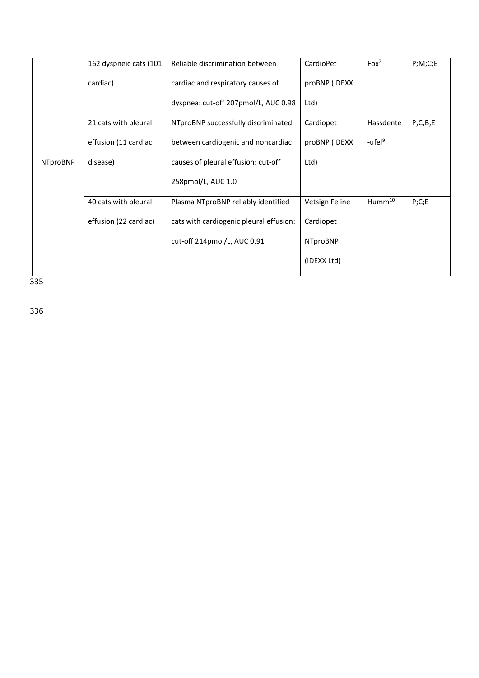|                 | 162 dyspneic cats (101 | Reliable discrimination between         | CardioPet       | $F$ ox <sup>7</sup> | P;M;C;E |
|-----------------|------------------------|-----------------------------------------|-----------------|---------------------|---------|
|                 | cardiac)               | cardiac and respiratory causes of       | proBNP (IDEXX   |                     |         |
|                 |                        | dyspnea: cut-off 207pmol/L, AUC 0.98    | Ltd)            |                     |         |
|                 | 21 cats with pleural   | NTproBNP successfully discriminated     | Cardiopet       | Hassdente           | P;C;B;E |
|                 | effusion (11 cardiac   | between cardiogenic and noncardiac      | proBNP (IDEXX   | -ufel <sup>9</sup>  |         |
| <b>NTproBNP</b> | disease)               | causes of pleural effusion: cut-off     | Ltd)            |                     |         |
|                 |                        | 258pmol/L, AUC 1.0                      |                 |                     |         |
|                 | 40 cats with pleural   | Plasma NTproBNP reliably identified     | Vetsign Feline  | $H$ umm $^{10}$     | P;C;E   |
|                 | effusion (22 cardiac)  | cats with cardiogenic pleural effusion: | Cardiopet       |                     |         |
|                 |                        | cut-off 214pmol/L, AUC 0.91             | <b>NTproBNP</b> |                     |         |
|                 |                        |                                         | (IDEXX Ltd)     |                     |         |

335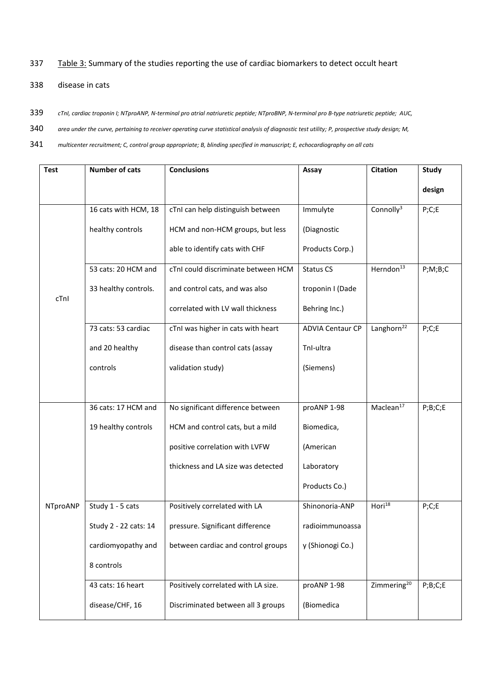### 337 Table 3: Summary of the studies reporting the use of cardiac biomarkers to detect occult heart

- 338 disease in cats
- 339 *cTnI, cardiac troponin I; NTproANP, N-terminal pro atrial natriuretic peptide; NTproBNP, N-terminal pro B-type natriuretic peptide; AUC,*
- 340 *area under the curve, pertaining to receiver operating curve statistical analysis of diagnostic test utility; P, prospective study design; M,*
- 341 *multicenter recruitment; C, control group appropriate; B, blinding specified in manuscript; E, echocardiography on all cats*

| <b>Test</b> | <b>Number of cats</b> | <b>Conclusions</b>                  | Assay                   | <b>Citation</b>         | <b>Study</b>          |
|-------------|-----------------------|-------------------------------------|-------------------------|-------------------------|-----------------------|
|             |                       |                                     |                         |                         | design                |
|             | 16 cats with HCM, 18  | cTnI can help distinguish between   | Immulyte                | Connolly <sup>3</sup>   | P;C;E                 |
|             | healthy controls      | HCM and non-HCM groups, but less    | (Diagnostic             |                         |                       |
|             |                       | able to identify cats with CHF      | Products Corp.)         |                         |                       |
|             | 53 cats: 20 HCM and   | cTnI could discriminate between HCM | <b>Status CS</b>        | Herndon <sup>13</sup>   | P;M;B;C               |
| cTnI        | 33 healthy controls.  | and control cats, and was also      | troponin I (Dade        |                         |                       |
|             |                       | correlated with LV wall thickness   | Behring Inc.)           |                         |                       |
|             | 73 cats: 53 cardiac   | cTnI was higher in cats with heart  | <b>ADVIA Centaur CP</b> | Langhorn <sup>22</sup>  | P;C;E                 |
|             | and 20 healthy        | disease than control cats (assay    | Tnl-ultra               |                         |                       |
|             | controls              | validation study)                   | (Siemens)               |                         |                       |
|             |                       |                                     |                         |                         |                       |
|             | 36 cats: 17 HCM and   | No significant difference between   | proANP 1-98             | Maclean <sup>17</sup>   | $P$ ; $B$ ; $C$ ; $E$ |
|             | 19 healthy controls   | HCM and control cats, but a mild    | Biomedica,              |                         |                       |
|             |                       | positive correlation with LVFW      | (American               |                         |                       |
|             |                       | thickness and LA size was detected  | Laboratory              |                         |                       |
|             |                       |                                     | Products Co.)           |                         |                       |
| NTproANP    | Study 1 - 5 cats      | Positively correlated with LA       | Shinonoria-ANP          | Hori $^{18}$            | P;C;E                 |
|             | Study 2 - 22 cats: 14 | pressure. Significant difference    | radioimmunoassa         |                         |                       |
|             | cardiomyopathy and    | between cardiac and control groups  | y (Shionogi Co.)        |                         |                       |
|             | 8 controls            |                                     |                         |                         |                       |
|             | 43 cats: 16 heart     | Positively correlated with LA size. | proANP 1-98             | Zimmering <sup>20</sup> | $P$ ; $B$ ; $C$ ; $E$ |
|             | disease/CHF, 16       | Discriminated between all 3 groups  | (Biomedica              |                         |                       |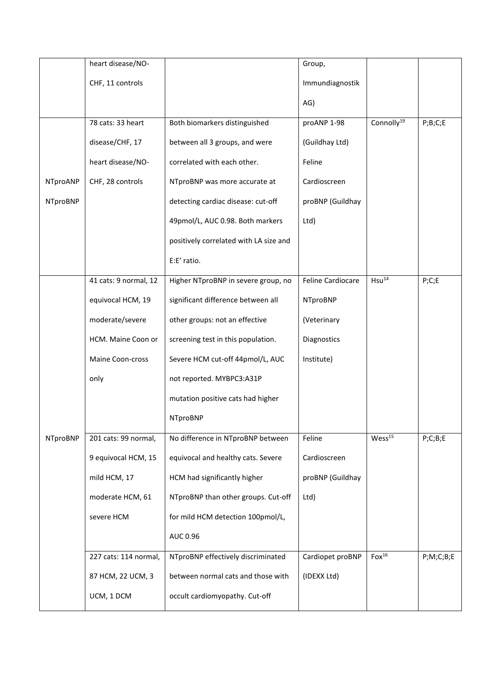|                 | heart disease/NO-     |                                        | Group,            |                        |                       |
|-----------------|-----------------------|----------------------------------------|-------------------|------------------------|-----------------------|
|                 | CHF, 11 controls      |                                        | Immundiagnostik   |                        |                       |
|                 |                       |                                        | AG)               |                        |                       |
|                 | 78 cats: 33 heart     | Both biomarkers distinguished          | proANP 1-98       | Connolly <sup>19</sup> | $P$ ; $B$ ; $C$ ; $E$ |
|                 | disease/CHF, 17       | between all 3 groups, and were         | (Guildhay Ltd)    |                        |                       |
|                 | heart disease/NO-     | correlated with each other.            | Feline            |                        |                       |
| NTproANP        | CHF, 28 controls      | NTproBNP was more accurate at          | Cardioscreen      |                        |                       |
| <b>NTproBNP</b> |                       | detecting cardiac disease: cut-off     | proBNP (Guildhay  |                        |                       |
|                 |                       | 49pmol/L, AUC 0.98. Both markers       | Ltd)              |                        |                       |
|                 |                       | positively correlated with LA size and |                   |                        |                       |
|                 |                       | E:E' ratio.                            |                   |                        |                       |
|                 | 41 cats: 9 normal, 12 | Higher NTproBNP in severe group, no    | Feline Cardiocare | Hsu <sup>14</sup>      | P;C;E                 |
|                 | equivocal HCM, 19     | significant difference between all     | <b>NTproBNP</b>   |                        |                       |
|                 | moderate/severe       | other groups: not an effective         | (Veterinary       |                        |                       |
|                 | HCM. Maine Coon or    | screening test in this population.     | Diagnostics       |                        |                       |
|                 | Maine Coon-cross      | Severe HCM cut-off 44pmol/L, AUC       | Institute)        |                        |                       |
|                 | only                  | not reported. MYBPC3:A31P              |                   |                        |                       |
|                 |                       | mutation positive cats had higher      |                   |                        |                       |
|                 |                       | NTproBNP                               |                   |                        |                       |
| <b>NTproBNP</b> | 201 cats: 99 normal,  | No difference in NTproBNP between      | Feline            | Wess <sup>15</sup>     | P;C;B;E               |
|                 | 9 equivocal HCM, 15   | equivocal and healthy cats. Severe     | Cardioscreen      |                        |                       |
|                 | mild HCM, 17          | HCM had significantly higher           | proBNP (Guildhay  |                        |                       |
|                 | moderate HCM, 61      | NTproBNP than other groups. Cut-off    | Ltd)              |                        |                       |
|                 | severe HCM            | for mild HCM detection 100pmol/L,      |                   |                        |                       |
|                 |                       | AUC 0.96                               |                   |                        |                       |
|                 | 227 cats: 114 normal, | NTproBNP effectively discriminated     | Cardiopet proBNP  | Fox <sup>16</sup>      | P;M;C;B;E             |
|                 | 87 HCM, 22 UCM, 3     | between normal cats and those with     | (IDEXX Ltd)       |                        |                       |
|                 | UCM, 1 DCM            | occult cardiomyopathy. Cut-off         |                   |                        |                       |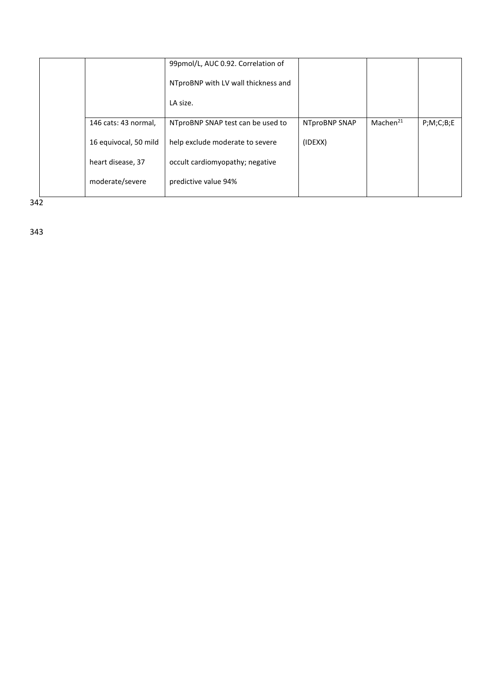|                       | 99pmol/L, AUC 0.92. Correlation of  |               |                      |           |
|-----------------------|-------------------------------------|---------------|----------------------|-----------|
|                       | NTproBNP with LV wall thickness and |               |                      |           |
|                       | LA size.                            |               |                      |           |
| 146 cats: 43 normal,  | NTproBNP SNAP test can be used to   | NTproBNP SNAP | Machen <sup>21</sup> | P;M;C;B;E |
| 16 equivocal, 50 mild | help exclude moderate to severe     | (IDEXX)       |                      |           |
| heart disease, 37     | occult cardiomyopathy; negative     |               |                      |           |
| moderate/severe       | predictive value 94%                |               |                      |           |

 $342$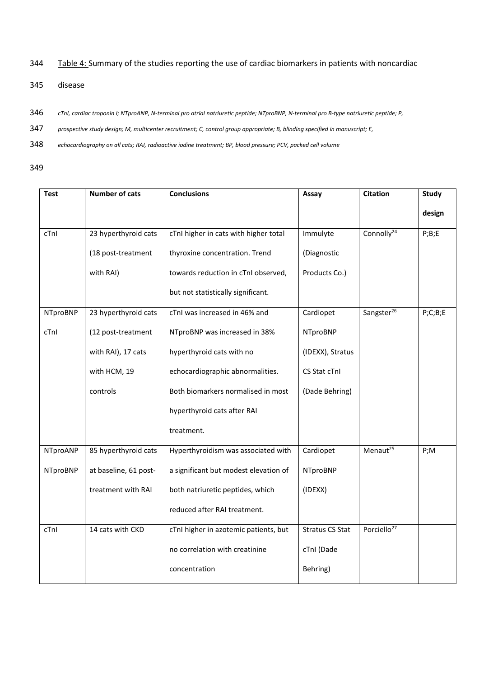344 Table 4: Summary of the studies reporting the use of cardiac biomarkers in patients with noncardiac

- 345 disease
- 346 *cTnI, cardiac troponin I; NTproANP, N-terminal pro atrial natriuretic peptide; NTproBNP, N-terminal pro B-type natriuretic peptide; P,*
- 347 *prospective study design; M, multicenter recruitment; C, control group appropriate; B, blinding specified in manuscript; E,*
- 348 *echocardiography on all cats; RAI, radioactive iodine treatment; BP, blood pressure; PCV, packed cell volume*
- 349

| <b>Test</b>     | <b>Number of cats</b> | <b>Conclusions</b>                    | Assay                  | <b>Citation</b>         | <b>Study</b>    |
|-----------------|-----------------------|---------------------------------------|------------------------|-------------------------|-----------------|
|                 |                       |                                       |                        |                         | design          |
| cTnl            | 23 hyperthyroid cats  | cTnI higher in cats with higher total | Immulyte               | Connolly <sup>24</sup>  | $P$ ; $B$ ; $E$ |
|                 | (18 post-treatment    | thyroxine concentration. Trend        | (Diagnostic            |                         |                 |
|                 | with RAI)             | towards reduction in cTnI observed,   | Products Co.)          |                         |                 |
|                 |                       | but not statistically significant.    |                        |                         |                 |
| <b>NTproBNP</b> | 23 hyperthyroid cats  | cTnI was increased in 46% and         | Cardiopet              | Sangster <sup>26</sup>  | P;C;B;E         |
| cTnl            | (12 post-treatment    | NTproBNP was increased in 38%         | <b>NTproBNP</b>        |                         |                 |
|                 | with RAI), 17 cats    | hyperthyroid cats with no             | (IDEXX), Stratus       |                         |                 |
|                 | with HCM, 19          | echocardiographic abnormalities.      | CS Stat cTnI           |                         |                 |
|                 | controls              | Both biomarkers normalised in most    | (Dade Behring)         |                         |                 |
|                 |                       | hyperthyroid cats after RAI           |                        |                         |                 |
|                 |                       | treatment.                            |                        |                         |                 |
| NTproANP        | 85 hyperthyroid cats  | Hyperthyroidism was associated with   | Cardiopet              | Menaut <sup>25</sup>    | P;M             |
| <b>NTproBNP</b> | at baseline, 61 post- | a significant but modest elevation of | <b>NTproBNP</b>        |                         |                 |
|                 | treatment with RAI    | both natriuretic peptides, which      | (IDENT)                |                         |                 |
|                 |                       | reduced after RAI treatment.          |                        |                         |                 |
| cTnl            | 14 cats with CKD      | cTnI higher in azotemic patients, but | <b>Stratus CS Stat</b> | Porciello <sup>27</sup> |                 |
|                 |                       | no correlation with creatinine        | cTnI (Dade             |                         |                 |
|                 |                       | concentration                         | Behring)               |                         |                 |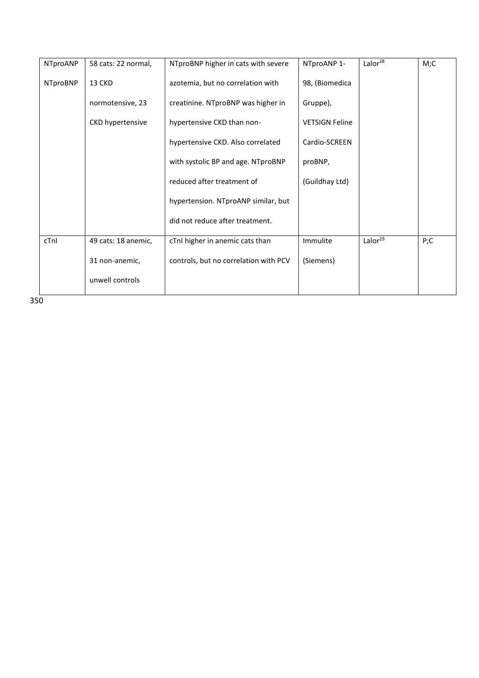| NTproANP        | 58 cats: 22 normal,     | NTproBNP higher in cats with severe   | NTproANP 1-           | Lalor $28$          | M;C |
|-----------------|-------------------------|---------------------------------------|-----------------------|---------------------|-----|
| <b>NTproBNP</b> | 13 CKD                  | azotemia, but no correlation with     | 98, (Biomedica        |                     |     |
|                 | normotensive, 23        | creatinine. NTproBNP was higher in    | Gruppe),              |                     |     |
|                 | <b>CKD hypertensive</b> | hypertensive CKD than non-            | <b>VETSIGN Feline</b> |                     |     |
|                 |                         | hypertensive CKD. Also correlated     | Cardio-SCREEN         |                     |     |
|                 |                         | with systolic BP and age. NTproBNP    | proBNP,               |                     |     |
|                 |                         | reduced after treatment of            | (Guildhay Ltd)        |                     |     |
|                 |                         | hypertension. NTproANP similar, but   |                       |                     |     |
|                 |                         | did not reduce after treatment.       |                       |                     |     |
| cTnI            | 49 cats: 18 anemic,     | cTnI higher in anemic cats than       | Immulite              | Lalor <sup>29</sup> | P;C |
|                 | 31 non-anemic,          | controls, but no correlation with PCV | (Siemens)             |                     |     |
|                 | unwell controls         |                                       |                       |                     |     |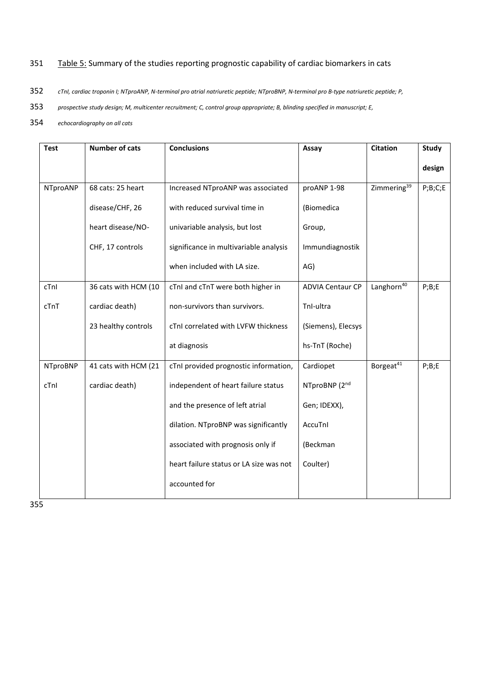# 351 Table 5: Summary of the studies reporting prognostic capability of cardiac biomarkers in cats

- 352 *cTnI, cardiac troponin I; NTproANP, N-terminal pro atrial natriuretic peptide; NTproBNP, N-terminal pro B-type natriuretic peptide; P,*
- 353 *prospective study design; M, multicenter recruitment; C, control group appropriate; B, blinding specified in manuscript; E,*
- 354 *echocardiography on all cats*

| <b>Test</b>     | <b>Number of cats</b> | <b>Conclusions</b>                      | Assay                   | <b>Citation</b>         | <b>Study</b>          |
|-----------------|-----------------------|-----------------------------------------|-------------------------|-------------------------|-----------------------|
|                 |                       |                                         |                         |                         | design                |
| NTproANP        | 68 cats: 25 heart     | Increased NTproANP was associated       | proANP 1-98             | Zimmering <sup>39</sup> | $P$ ; $B$ ; $C$ ; $E$ |
|                 | disease/CHF, 26       | with reduced survival time in           | (Biomedica              |                         |                       |
|                 | heart disease/NO-     | univariable analysis, but lost          | Group,                  |                         |                       |
|                 | CHF, 17 controls      | significance in multivariable analysis  | Immundiagnostik         |                         |                       |
|                 |                       | when included with LA size.             | AG)                     |                         |                       |
| cTnI            | 36 cats with HCM (10  | cTnI and cTnT were both higher in       | <b>ADVIA Centaur CP</b> | Langhorn <sup>40</sup>  | $P$ ; $B$ ; $E$       |
| cTnT            | cardiac death)        | non-survivors than survivors.           | TnI-ultra               |                         |                       |
|                 | 23 healthy controls   | cTnI correlated with LVFW thickness     | (Siemens), Elecsys      |                         |                       |
|                 |                       | at diagnosis                            | hs-TnT (Roche)          |                         |                       |
| <b>NTproBNP</b> | 41 cats with HCM (21  | cTnI provided prognostic information,   | Cardiopet               | Borgeat <sup>41</sup>   | $P$ ; $B$ ; $E$       |
| cTnI            | cardiac death)        | independent of heart failure status     | NTproBNP (2nd           |                         |                       |
|                 |                       | and the presence of left atrial         | Gen; IDEXX),            |                         |                       |
|                 |                       | dilation. NTproBNP was significantly    | AccuTnl                 |                         |                       |
|                 |                       | associated with prognosis only if       | (Beckman                |                         |                       |
|                 |                       | heart failure status or LA size was not | Coulter)                |                         |                       |
|                 |                       | accounted for                           |                         |                         |                       |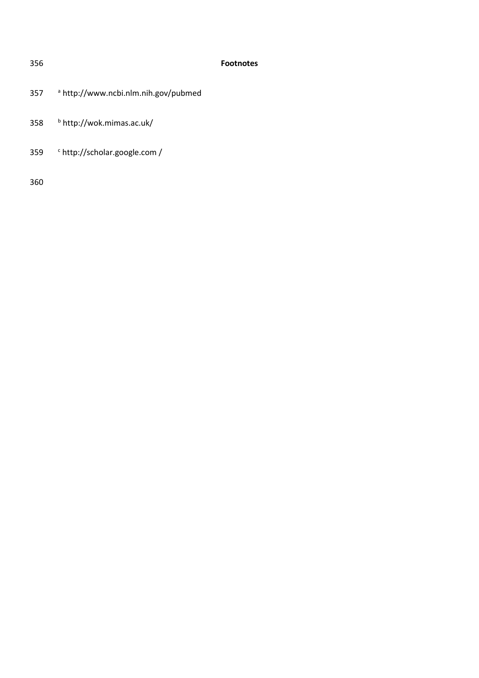# **Footnotes**

- <sup>a</sup> http://www.ncbi.nlm.nih.gov/pubmed
- <sup>b</sup> http://wok.mimas.ac.uk/
- 359 <sup>c</sup> http://scholar.google.com /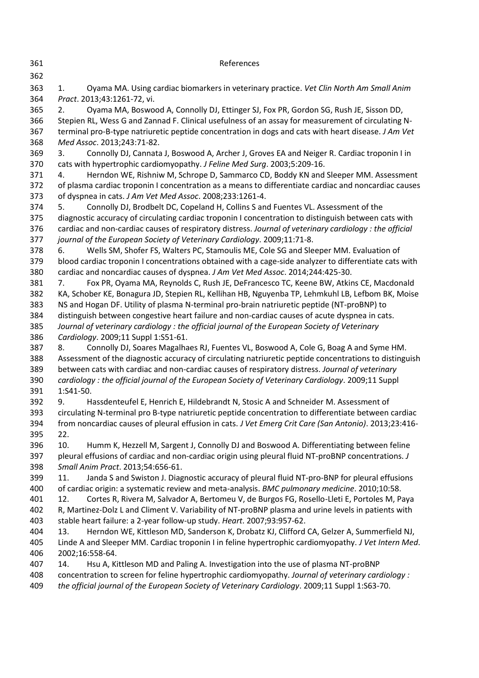<span id="page-25-13"></span><span id="page-25-12"></span><span id="page-25-11"></span><span id="page-25-10"></span><span id="page-25-9"></span><span id="page-25-8"></span><span id="page-25-7"></span><span id="page-25-6"></span><span id="page-25-5"></span><span id="page-25-4"></span><span id="page-25-3"></span><span id="page-25-2"></span><span id="page-25-1"></span><span id="page-25-0"></span>

| 361               | References                                                                                                                                                                                                                                                                                               |
|-------------------|----------------------------------------------------------------------------------------------------------------------------------------------------------------------------------------------------------------------------------------------------------------------------------------------------------|
| 362<br>363        | Oyama MA. Using cardiac biomarkers in veterinary practice. Vet Clin North Am Small Anim<br>1.                                                                                                                                                                                                            |
| 364               | Pract. 2013;43:1261-72, vi.                                                                                                                                                                                                                                                                              |
| 365<br>366<br>367 | Oyama MA, Boswood A, Connolly DJ, Ettinger SJ, Fox PR, Gordon SG, Rush JE, Sisson DD,<br>2.<br>Stepien RL, Wess G and Zannad F. Clinical usefulness of an assay for measurement of circulating N-<br>terminal pro-B-type natriuretic peptide concentration in dogs and cats with heart disease. J Am Vet |
| 368               | Med Assoc. 2013;243:71-82.                                                                                                                                                                                                                                                                               |
| 369<br>370        | Connolly DJ, Cannata J, Boswood A, Archer J, Groves EA and Neiger R. Cardiac troponin I in<br>3.<br>cats with hypertrophic cardiomyopathy. J Feline Med Surg. 2003;5:209-16.                                                                                                                             |
| 371<br>372        | Herndon WE, Rishniw M, Schrope D, Sammarco CD, Boddy KN and Sleeper MM. Assessment<br>4.<br>of plasma cardiac troponin I concentration as a means to differentiate cardiac and noncardiac causes                                                                                                         |
| 373               | of dyspnea in cats. J Am Vet Med Assoc. 2008;233:1261-4.                                                                                                                                                                                                                                                 |
| 374               | Connolly DJ, Brodbelt DC, Copeland H, Collins S and Fuentes VL. Assessment of the<br>5.                                                                                                                                                                                                                  |
| 375<br>376        | diagnostic accuracy of circulating cardiac troponin I concentration to distinguish between cats with<br>cardiac and non-cardiac causes of respiratory distress. Journal of veterinary cardiology : the official                                                                                          |
| 377               | journal of the European Society of Veterinary Cardiology. 2009;11:71-8.                                                                                                                                                                                                                                  |
| 378               | Wells SM, Shofer FS, Walters PC, Stamoulis ME, Cole SG and Sleeper MM. Evaluation of<br>6.                                                                                                                                                                                                               |
| 379<br>380        | blood cardiac troponin I concentrations obtained with a cage-side analyzer to differentiate cats with<br>cardiac and noncardiac causes of dyspnea. J Am Vet Med Assoc. 2014;244:425-30.                                                                                                                  |
| 381               | Fox PR, Oyama MA, Reynolds C, Rush JE, DeFrancesco TC, Keene BW, Atkins CE, Macdonald<br>7.                                                                                                                                                                                                              |
| 382               | KA, Schober KE, Bonagura JD, Stepien RL, Kellihan HB, Nguyenba TP, Lehmkuhl LB, Lefbom BK, Moise                                                                                                                                                                                                         |
| 383               | NS and Hogan DF. Utility of plasma N-terminal pro-brain natriuretic peptide (NT-proBNP) to                                                                                                                                                                                                               |
| 384               | distinguish between congestive heart failure and non-cardiac causes of acute dyspnea in cats.                                                                                                                                                                                                            |
| 385               | Journal of veterinary cardiology: the official journal of the European Society of Veterinary                                                                                                                                                                                                             |
| 386               | Cardiology. 2009;11 Suppl 1:S51-61.                                                                                                                                                                                                                                                                      |
| 387               | Connolly DJ, Soares Magalhaes RJ, Fuentes VL, Boswood A, Cole G, Boag A and Syme HM.<br>8.                                                                                                                                                                                                               |
| 388               | Assessment of the diagnostic accuracy of circulating natriuretic peptide concentrations to distinguish                                                                                                                                                                                                   |
| 389               | between cats with cardiac and non-cardiac causes of respiratory distress. Journal of veterinary                                                                                                                                                                                                          |
| 390<br>391        | cardiology: the official journal of the European Society of Veterinary Cardiology. 2009;11 Suppl<br>1:S41-50.                                                                                                                                                                                            |
| 392               | Hassdenteufel E, Henrich E, Hildebrandt N, Stosic A and Schneider M. Assessment of<br>9.                                                                                                                                                                                                                 |
| 393               | circulating N-terminal pro B-type natriuretic peptide concentration to differentiate between cardiac                                                                                                                                                                                                     |
| 394               | from noncardiac causes of pleural effusion in cats. J Vet Emerg Crit Care (San Antonio). 2013;23:416-                                                                                                                                                                                                    |
| 395               | 22.                                                                                                                                                                                                                                                                                                      |
| 396               | 10.<br>Humm K, Hezzell M, Sargent J, Connolly DJ and Boswood A. Differentiating between feline                                                                                                                                                                                                           |
| 397               | pleural effusions of cardiac and non-cardiac origin using pleural fluid NT-proBNP concentrations. J                                                                                                                                                                                                      |
| 398               | Small Anim Pract. 2013;54:656-61.                                                                                                                                                                                                                                                                        |
| 399               | Janda S and Swiston J. Diagnostic accuracy of pleural fluid NT-pro-BNP for pleural effusions<br>11.                                                                                                                                                                                                      |
| 400               | of cardiac origin: a systematic review and meta-analysis. BMC pulmonary medicine. 2010;10:58.                                                                                                                                                                                                            |
| 401               | Cortes R, Rivera M, Salvador A, Bertomeu V, de Burgos FG, Rosello-Lleti E, Portoles M, Paya<br>12.                                                                                                                                                                                                       |
| 402               | R, Martinez-Dolz L and Climent V. Variability of NT-proBNP plasma and urine levels in patients with                                                                                                                                                                                                      |
| 403               | stable heart failure: a 2-year follow-up study. Heart. 2007;93:957-62.                                                                                                                                                                                                                                   |
| 404               | Herndon WE, Kittleson MD, Sanderson K, Drobatz KJ, Clifford CA, Gelzer A, Summerfield NJ,<br>13.                                                                                                                                                                                                         |
| 405               | Linde A and Sleeper MM. Cardiac troponin I in feline hypertrophic cardiomyopathy. J Vet Intern Med.<br>2002;16:558-64.                                                                                                                                                                                   |
| 406<br>407        | 14.<br>Hsu A, Kittleson MD and Paling A. Investigation into the use of plasma NT-proBNP                                                                                                                                                                                                                  |
| 408               | concentration to screen for feline hypertrophic cardiomyopathy. Journal of veterinary cardiology :                                                                                                                                                                                                       |
| 409               | the official journal of the European Society of Veterinary Cardiology. 2009;11 Suppl 1:S63-70.                                                                                                                                                                                                           |
|                   |                                                                                                                                                                                                                                                                                                          |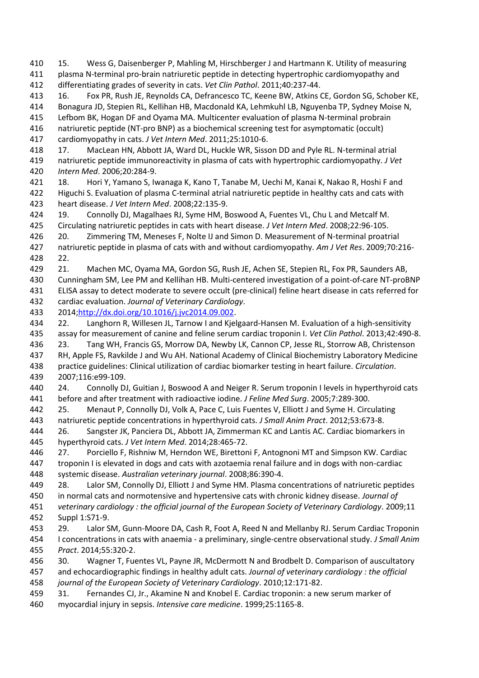<span id="page-26-4"></span> 15. Wess G, Daisenberger P, Mahling M, Hirschberger J and Hartmann K. Utility of measuring plasma N-terminal pro-brain natriuretic peptide in detecting hypertrophic cardiomyopathy and differentiating grades of severity in cats. *Vet Clin Pathol*. 2011;40:237-44.

<span id="page-26-0"></span> 16. Fox PR, Rush JE, Reynolds CA, Defrancesco TC, Keene BW, Atkins CE, Gordon SG, Schober KE, Bonagura JD, Stepien RL, Kellihan HB, Macdonald KA, Lehmkuhl LB, Nguyenba TP, Sydney Moise N, Lefbom BK, Hogan DF and Oyama MA. Multicenter evaluation of plasma N-terminal probrain

 natriuretic peptide (NT-pro BNP) as a biochemical screening test for asymptomatic (occult) cardiomyopathy in cats. *J Vet Intern Med*. 2011;25:1010-6.

<span id="page-26-3"></span> 17. MacLean HN, Abbott JA, Ward DL, Huckle WR, Sisson DD and Pyle RL. N-terminal atrial natriuretic peptide immunoreactivity in plasma of cats with hypertrophic cardiomyopathy. *J Vet Intern Med*. 2006;20:284-9.

<span id="page-26-2"></span> 18. Hori Y, Yamano S, Iwanaga K, Kano T, Tanabe M, Uechi M, Kanai K, Nakao R, Hoshi F and Higuchi S. Evaluation of plasma C-terminal atrial natriuretic peptide in healthy cats and cats with heart disease. *J Vet Intern Med*. 2008;22:135-9.

<span id="page-26-5"></span> 19. Connolly DJ, Magalhaes RJ, Syme HM, Boswood A, Fuentes VL, Chu L and Metcalf M. Circulating natriuretic peptides in cats with heart disease. *J Vet Intern Med*. 2008;22:96-105.

<span id="page-26-16"></span> 20. Zimmering TM, Meneses F, Nolte IJ and Simon D. Measurement of N-terminal proatrial natriuretic peptide in plasma of cats with and without cardiomyopathy. *Am J Vet Res*. 2009;70:216- 22.

<span id="page-26-1"></span>21. Machen MC, Oyama MA, Gordon SG, Rush JE, Achen SE, Stepien RL, Fox PR, Saunders AB,

Cunningham SM, Lee PM and Kellihan HB. Multi-centered investigation of a point-of-care NT-proBNP

 ELISA assay to detect moderate to severe occult (pre-clinical) feline heart disease in cats referred for cardiac evaluation. *Journal of Veterinary Cardiology*.

2014[;http://dx.doi.org/10.1016/j.jvc2014.09.002.](http://dx.doi.org/10.1016/j.jvc2014.09.002)

<span id="page-26-6"></span> 22. Langhorn R, Willesen JL, Tarnow I and Kjelgaard-Hansen M. Evaluation of a high-sensitivity assay for measurement of canine and feline serum cardiac troponin I. *Vet Clin Pathol*. 2013;42:490-8.

<span id="page-26-7"></span> 23. Tang WH, Francis GS, Morrow DA, Newby LK, Cannon CP, Jesse RL, Storrow AB, Christenson RH, Apple FS, Ravkilde J and Wu AH. National Academy of Clinical Biochemistry Laboratory Medicine practice guidelines: Clinical utilization of cardiac biomarker testing in heart failure. *Circulation*. 2007;116:e99-109.

<span id="page-26-8"></span> 24. Connolly DJ, Guitian J, Boswood A and Neiger R. Serum troponin I levels in hyperthyroid cats before and after treatment with radioactive iodine. *J Feline Med Surg*. 2005;7:289-300.

<span id="page-26-12"></span> 25. Menaut P, Connolly DJ, Volk A, Pace C, Luis Fuentes V, Elliott J and Syme H. Circulating natriuretic peptide concentrations in hyperthyroid cats. *J Small Anim Pract*. 2012;53:673-8.

<span id="page-26-13"></span> 26. Sangster JK, Panciera DL, Abbott JA, Zimmerman KC and Lantis AC. Cardiac biomarkers in hyperthyroid cats. *J Vet Intern Med*. 2014;28:465-72.

<span id="page-26-9"></span> 27. Porciello F, Rishniw M, Herndon WE, Birettoni F, Antognoni MT and Simpson KW. Cardiac troponin I is elevated in dogs and cats with azotaemia renal failure and in dogs with non-cardiac systemic disease. *Australian veterinary journal*. 2008;86:390-4.

<span id="page-26-10"></span> 28. Lalor SM, Connolly DJ, Elliott J and Syme HM. Plasma concentrations of natriuretic peptides in normal cats and normotensive and hypertensive cats with chronic kidney disease. *Journal of* 

 *veterinary cardiology : the official journal of the European Society of Veterinary Cardiology*. 2009;11 Suppl 1:S71-9.

<span id="page-26-11"></span> 29. Lalor SM, Gunn-Moore DA, Cash R, Foot A, Reed N and Mellanby RJ. Serum Cardiac Troponin I concentrations in cats with anaemia - a preliminary, single-centre observational study. *J Small Anim Pract*. 2014;55:320-2.

<span id="page-26-14"></span>30. Wagner T, Fuentes VL, Payne JR, McDermott N and Brodbelt D. Comparison of auscultatory

 and echocardiographic findings in healthy adult cats. *Journal of veterinary cardiology : the official journal of the European Society of Veterinary Cardiology*. 2010;12:171-82.

<span id="page-26-15"></span> 31. Fernandes CJ, Jr., Akamine N and Knobel E. Cardiac troponin: a new serum marker of myocardial injury in sepsis. *Intensive care medicine*. 1999;25:1165-8.